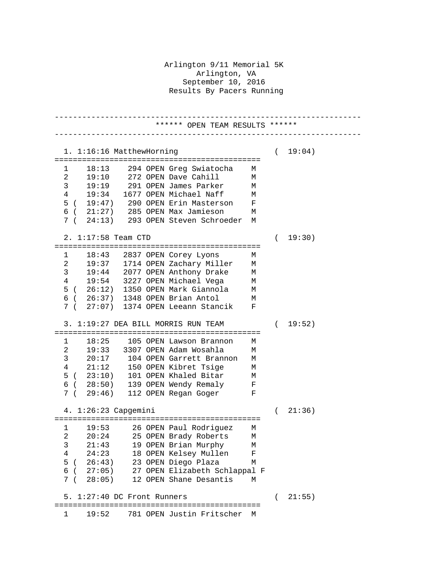Arlington 9/11 Memorial 5K Arlington, VA September 10, 2016 Results By Pacers Running

------------------------------------------------------------------- \*\*\*\*\*\* OPEN TEAM RESULTS \*\*\*\*\*\* ------------------------------------------------------------------- 1. 1:16:16 MatthewHorning ( 19:04) ============================================= 1 18:13 294 OPEN Greg Swiatocha M 2 19:10 272 OPEN Dave Cahill M 3 19:19 291 OPEN James Parker M 19:34 1677 OPEN Michael Naff M<br>19:47) 290 OPEN Erin Masterson F 5 ( 19:47) 290 OPEN Erin Masterson F  $6$  (  $21:27$ ) 285 OPEN Max Jamieson 7 ( 24:13) 293 OPEN Steven Schroeder M 2. 1:17:58 Team CTD ( 19:30) ============================================= 1 18:43 2837 OPEN Corey Lyons M 2 19:37 1714 OPEN Zachary Miller M 3 19:44 2077 OPEN Anthony Drake M 4 19:54 3227 OPEN Michael Vega M 5 ( 26:12) 1350 OPEN Mark Giannola M 6 ( 26:37) 1348 OPEN Brian Antol M 7 ( 27:07) 1374 OPEN Leeann Stancik F 3. 1:19:27 DEA BILL MORRIS RUN TEAM ( 19:52) ============================================= 18:25 105 OPEN Lawson Brannon 2 19:33 3307 OPEN Adam Wosahla M 3 20:17 104 OPEN Garrett Brannon M<br>4 21:12 150 OPEN Kibret Tsige M 21:12 150 OPEN Kibret Tsige M<br>23:10) 101 OPEN Khaled Bitar M  $5$  (  $23:10$ ) 101 OPEN Khaled Bitar 6 ( 28:50) 139 OPEN Wendy Remaly F 7 ( 29:46) 112 OPEN Regan Goger F 4. 1:26:23 Capgemini ( 21:36) ============================================= 1 19:53 26 OPEN Paul Rodriguez M 2 20:24 25 OPEN Brady Roberts M 3 21:43 19 OPEN Brian Murphy M 4 24:23 18 OPEN Kelsey Mullen F 5 ( 26:43) 23 OPEN Diego Plaza M 6 ( 27:05) 27 OPEN Elizabeth Schlappal F 7 ( 28:05) 12 OPEN Shane Desantis M 5. 1:27:40 DC Front Runners ( 21:55) ============================================= 1 19:52 781 OPEN Justin Fritscher M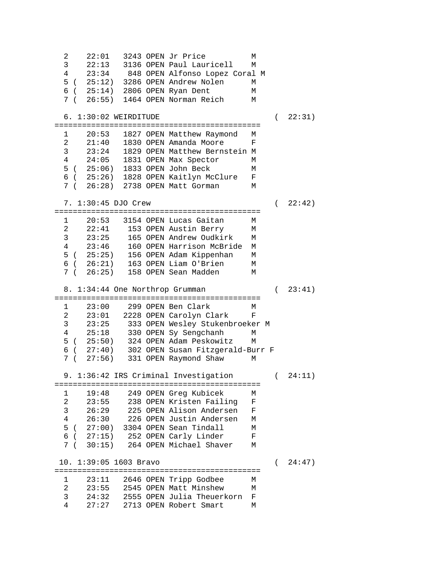2 22:01 3243 OPEN Jr Price M 3 22:13 3136 OPEN Paul Lauricell<br>4 23:34 848 OPEN Alfonso Lopez C 4 23:34 848 OPEN Alfonso Lopez Coral M 5 ( 25:12) 3286 OPEN Andrew Nolen M 6 ( 25:14) 2806 OPEN Ryan Dent M<br>7 ( 26:55) 1464 OPEN Norman Reich M 7 ( 26:55) 1464 OPEN Norman Reich 6. 1:30:02 WEIRDITUDE ( 22:31) ============================================= 1 20:53 1827 OPEN Matthew Raymond M 2 21:40 1830 OPEN Amanda Moore<br>3 23:24 1829 OPEN Matthew Berns 3 23:24 1829 OPEN Matthew Bernstein M 24:05 1831 OPEN Max Spector 5 ( 25:06) 1833 OPEN John Beck M 6 ( 25:26) 1828 OPEN Kaitlyn McClure F 7 ( 26:28) 2738 OPEN Matt Gorman M 7. 1:30:45 DJO Crew ( 22:42) ============================================= 20:53 3154 OPEN Lucas Gaitan 2 22:41 153 OPEN Austin Berry M<br>3 23:25 165 OPEN Andrew Oudkirk M 3 23:25 165 OPEN Andrew Oudkirk M 4 23:46 160 OPEN Harrison McBride M 5 ( 25:25) 156 OPEN Adam Kippenhan M 6 ( 26:21) 163 OPEN Liam O'Brien M 7 ( 26:25) 158 OPEN Sean Madden M 8. 1:34:44 One Northrop Grumman ( 23:41) ============================================= 1 23:00 299 OPEN Ben Clark M 2 23:01 2228 OPEN Carolyn Clark<br>3 23:25 333 OPEN Wesley Stukenbro 3 23:25 333 OPEN Wesley Stukenbroeker M 4 25:18 330 OPEN Sy Sengchanh M 5 ( 25:50) 324 OPEN Adam Peskowitz M 6 ( 27:40) 302 OPEN Susan Fitzgerald-Burr F 7 ( 27:56) 331 OPEN Raymond Shaw M 9. 1:36:42 IRS Criminal Investigation (24:11) ============================================= 1 19:48 249 OPEN Greg Kubicek M 2 23:55 238 OPEN Kristen Failing F 3 26:29 225 OPEN Alison Andersen<br>4 26:30 226 OPEN Justin Andersen 226 OPEN Justin Andersen M 5 ( 27:00) 3304 OPEN Sean Tindall M 6 ( 27:15) 252 OPEN Carly Linder F 7 ( 30:15) 264 OPEN Michael Shaver M 10. 1:39:05 1603 Bravo ( 24:47) ============================================= 1 23:11 2646 OPEN Tripp Godbee M 2 23:55 2545 OPEN Matt Minshew M 3 24:32 2555 OPEN Julia Theuerkorn F 27:27 2713 OPEN Robert Smart M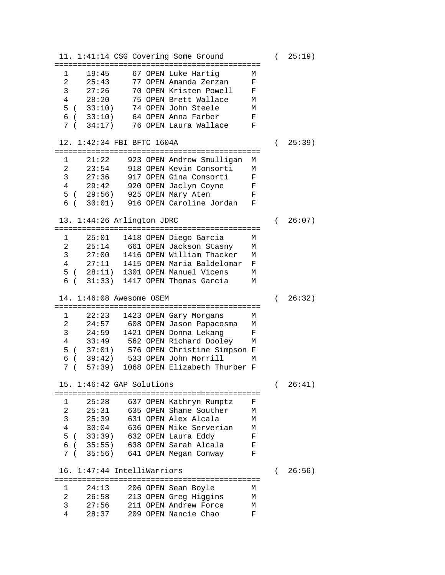11. 1:41:14 CSG Covering Some Ground ( 25:19) ============================================= 1 19:45 67 OPEN Luke Hartig M<br>2 25:43 77 OPEN Amanda Zerzan F 2 25:43 77 OPEN Amanda Zerzan F 3 27:26 70 OPEN Kristen Powell F 75 OPEN Brett Wallace 5 ( 33:10) 74 OPEN John Steele M 6 ( 33:10) 64 OPEN Anna Farber F 7 ( 34:17) 76 OPEN Laura Wallace F 12. 1:42:34 FBI BFTC 1604A ( 25:39) ============================================= 1 21:22 923 OPEN Andrew Smulligan M 21:22 923 OPEN ANGLEW SMOTTIGHT M<br>23:54 918 OPEN Kevin Consorti M<br>27:36 917 OPEN Gina Consorti F 3 27:36 917 OPEN Gina Consorti F 4 29:42 920 OPEN Jaclyn Coyne F 5 ( 29:56) 925 OPEN Mary Aten F 6 ( 30:01) 916 OPEN Caroline Jordan F 13. 1:44:26 Arlington JDRC ( 26:07) ============================================= 1 25:01 1418 OPEN Diego Garcia M 2 25:14 661 OPEN Jackson Stasny M<br>3 27:00 1416 OPEN William Thacker M 3 27:00 1416 OPEN William Thacker M 4 27:11 1415 OPEN Maria Baldelomar F 5 ( 28:11) 1301 OPEN Manuel Vicens M 6 ( 31:33) 1417 OPEN Thomas Garcia M 14. 1:46:08 Awesome OSEM ( 26:32) ============================================= 1 22:23 1423 OPEN Gary Morgans M 2 24:57 608 OPEN Jason Papacosma M<br>3 24:59 1421 OPEN Donna Lekang F 3 24:59 1421 OPEN Donna Lekang F<br>4 33:49 562 OPEN Richard Dooley M 33:49 562 OPEN Richard Dooley 5 ( 37:01) 576 OPEN Christine Simpson F 6 ( 39:42) 533 OPEN John Morrill M 7 ( 57:39) 1068 OPEN Elizabeth Thurber F 15. 1:46:42 GAP Solutions ( 26:41) ============================================= 1 25:28 637 OPEN Kathryn Rumptz F 2 25:31 635 OPEN Shane Souther M 3 25:39 631 OPEN Alex Alcala M 30:04 636 OPEN Mike Serverian M<br>33:39) 632 OPEN Laura Eddy F 5 ( 33:39) 632 OPEN Laura Eddy F<br>6 ( 35:55) 638 OPEN Sarah Alcala F 6 ( 35:55) 638 OPEN Sarah Alcala F 7 ( 35:56) 641 OPEN Megan Conway F 16. 1:47:44 IntelliWarriors ( 26:56) ============================================= 1 24:13 206 OPEN Sean Boyle M 2 26:58 213 OPEN Greg Higgins M 3 27:56 211 OPEN Andrew Force M 4 28:37 209 OPEN Nancie Chao F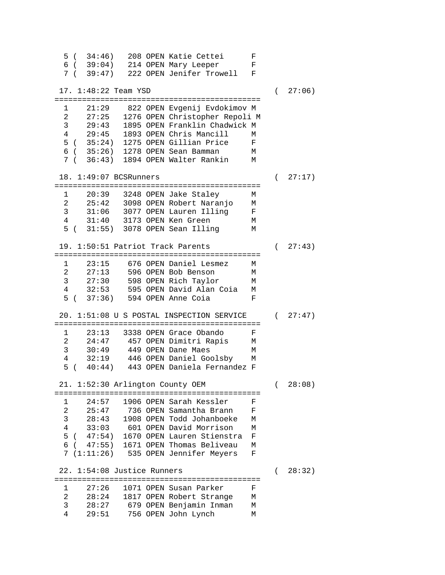5 ( 34:46) 208 OPEN Katie Cettei F 6 ( 39:04) 214 OPEN Mary Leeper F 7 ( 39:47) 222 OPEN Jenifer Trowell F 17. 1:48:22 Team YSD ( 27:06) ============================================= 1 21:29 822 OPEN Evgenij Evdokimov M 2 27:25 1276 OPEN Christopher Repoli M 3 29:43 1895 OPEN Franklin Chadwick M 4 29:45 1893 OPEN Chris Mancill M 5 ( 35:24) 1275 OPEN Gillian Price F 6 ( 35:26) 1278 OPEN Sean Bamman M 7 ( 36:43) 1894 OPEN Walter Rankin 18. 1:49:07 BCSRunners ( 27:17) ============================================= 1 20:39 3248 OPEN Jake Staley M 25:42 3098 OPEN Robert Naranjo 3 31:06 3077 OPEN Lauren Illing F 4 31:40 3173 OPEN Ken Green M 5 ( 31:55) 3078 OPEN Sean Illing M 19. 1:50:51 Patriot Track Parents ( 27:43) ============================================= 1 23:15 676 OPEN Daniel Lesmez M 2 27:13 596 OPEN Bob Benson M 3 27:30 598 OPEN Rich Taylor M 4 32:53 595 OPEN David Alan Coia M 5 ( 37:36) 594 OPEN Anne Coia F 20. 1:51:08 U S POSTAL INSPECTION SERVICE ( 27:47) ============================================= 1 23:13 3338 OPEN Grace Obando F 2 24:47 457 OPEN Dimitri Rapis M 3 30:49 449 OPEN Dane Maes M 4 32:19 446 OPEN Daniel Goolsby M 5 ( 40:44) 443 OPEN Daniela Fernandez F 21. 1:52:30 Arlington County OEM ( 28:08) ============================================= 1 24:57 1906 OPEN Sarah Kessler F 25:47 736 OPEN Samantha Brann 3 28:43 1908 OPEN Todd Johanboeke M 4 33:03 601 OPEN David Morrison M 5 ( 47:54) 1670 OPEN Lauren Stienstra F 6 ( 47:55) 1671 OPEN Thomas Beliveau M 7 (1:11:26) 535 OPEN Jennifer Meyers F 22. 1:54:08 Justice Runners ( 28:32) ============================================= 1 27:26 1071 OPEN Susan Parker F 2 28:24 1817 OPEN Robert Strange M 3 28:27 679 OPEN Benjamin Inman M 4 29:51 756 OPEN John Lynch M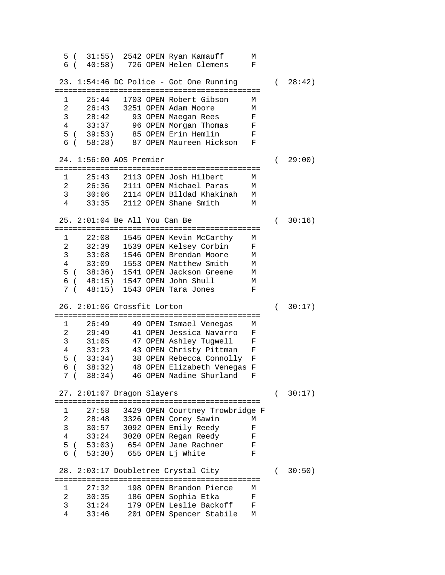5 ( 31:55) 2542 OPEN Ryan Kamauff M 6 ( 40:58) 726 OPEN Helen Clemens F 23. 1:54:46 DC Police - Got One Running ( 28:42) ============================================= 1 25:44 1703 OPEN Robert Gibson M 2 26:43 3251 OPEN Adam Moore M 3 28:42 93 OPEN Maegan Rees F 4 33:37 96 OPEN Morgan Thomas F 5 ( 39:53) 85 OPEN Erin Hemlin F 6 ( 58:28) 87 OPEN Maureen Hickson F 24. 1:56:00 AOS Premier ( 29:00) ============================================= 1 25:43 2113 OPEN Josh Hilbert M 2 26:36 2111 OPEN Michael Paras M 3 30:06 2114 OPEN Bildad Khakinah M 33:35 2112 OPEN Shane Smith 25. 2:01:04 Be All You Can Be ( 30:16) ============================================= 1 22:08 1545 OPEN Kevin McCarthy M 2 32:39 1539 OPEN Kelsey Corbin<br>3 33:08 1546 OPEN Brendan Moore 3 33:08 1546 OPEN Brendan Moore M 33:09 1553 OPEN Matthew Smith M<br>38:36) 1541 OPEN Jackson Greene M 5 ( 38:36) 1541 OPEN Jackson Greene M 6 ( 48:15) 1547 OPEN John Shull M 7 ( 48:15) 1543 OPEN Tara Jones F 26. 2:01:06 Crossfit Lorton ( 30:17) ============================================= 1 26:49 49 OPEN Ismael Venegas M 2 29:49 41 OPEN Jessica Navarro F<br>3 31:05 47 OPEN Ashlev Tugwell F 3 31:05 47 OPEN Ashley Tugwell F 4 33:23 43 OPEN Christy Pittman F 5 ( 33:34) 38 OPEN Rebecca Connolly F 6 ( 38:32) 48 OPEN Elizabeth Venegas F 7 ( 38:34) 46 OPEN Nadine Shurland F 27. 2:01:07 Dragon Slayers ( 30:17) ============================================= 1 27:58 3429 OPEN Courtney Trowbridge F 2 28:48 3326 OPEN Corey Sawin M 3 30:57 3092 OPEN Emily Reedy F 33:24 3020 OPEN Regan Reedy F<br>53:03) 654 OPEN Jane Rachner F 5 ( 53:03) 654 OPEN Jane Rachner F<br>6 ( 53:30) 655 OPEN Lj White F 6 ( 53:30) 655 OPEN Lj White F 28. 2:03:17 Doubletree Crystal City ( 30:50) ============================================= 1 27:32 198 OPEN Brandon Pierce M 2 30:35 186 OPEN Sophia Etka F 3 31:24 179 OPEN Leslie Backoff F 4 33:46 201 OPEN Spencer Stabile M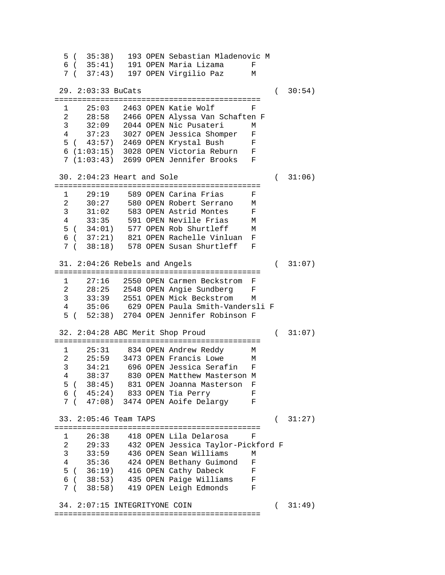5 ( 35:38) 193 OPEN Sebastian Mladenovic M 6 ( 35:41) 191 OPEN Maria Lizama F 7 ( 37:43) 197 OPEN Virgilio Paz M 29. 2:03:33 BuCats ( 30:54) ============================================= 1 25:03 2463 OPEN Katie Wolf F<br>2 28:58 2466 OPEN Alvssa Van Schaften 2 28:58 2466 OPEN Alyssa Van Schaften F 3 32:09 2044 OPEN Nic Pusateri M 4 37:23 3027 OPEN Jessica Shomper F 5 ( 43:57) 2469 OPEN Krystal Bush F 6 (1:03:15) 3028 OPEN Victoria Reburn F 7 (1:03:43) 2699 OPEN Jennifer Brooks F 30. 2:04:23 Heart and Sole ( 31:06) ============================================= 1 29:19 589 OPEN Carina Frias F 2 30:27 580 OPEN Robert Serrano M 3 31:02 583 OPEN Astrid Montes F 4 33:35 591 OPEN Neville Frias M 5 ( 34:01) 577 OPEN Rob Shurtleff M 6 ( 37:21) 821 OPEN Rachelle Vinluan F 7 ( 38:18) 578 OPEN Susan Shurtleff F 31. 2:04:26 Rebels and Angels ( 31:07) ============================================= 1 27:16 2550 OPEN Carmen Beckstrom F 2 28:25 2548 OPEN Angie Sundberg F 3 33:39 2551 OPEN Mick Beckstrom M 4 35:06 629 OPEN Paula Smith-Vandersli F 5 ( 52:38) 2704 OPEN Jennifer Robinson F 32. 2:04:28 ABC Merit Shop Proud ( 31:07) ============================================= 1 25:31 834 OPEN Andrew Reddy M 2 25:59 3473 OPEN Francis Lowe M<br>3 34:21 696 OPEN Jessica Serafin F 3 34:21 696 OPEN Jessica Serafin F 4 38:37 830 OPEN Matthew Masterson M 5 ( 38:45) 831 OPEN Joanna Masterson F 6 ( 45:24) 833 OPEN Tia Perry F 7 ( 47:08) 3474 OPEN Aoife Delargy F 33. 2:05:46 Team TAPS ( 31:27) ============================================= 1 26:38 418 OPEN Lila Delarosa F 2 29:33 432 OPEN Jessica Taylor-Pickford F 3 33:59 436 OPEN Sean Williams M 4 35:36 424 OPEN Bethany Guimond F 5 ( 36:19) 416 OPEN Cathy Dabeck F<br>6 ( 38:53) 435 OPEN Paige Williams F 6 ( 38:53) 435 OPEN Paige Williams F 7 ( 38:58) 419 OPEN Leigh Edmonds F 34. 2:07:15 INTEGRITYONE COIN ( 31:49) =============================================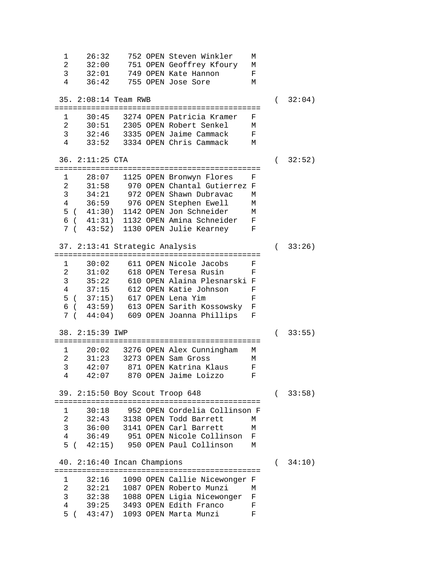1 26:32 752 OPEN Steven Winkler M 2 32:00 751 OPEN Geoffrey Kfoury M<br>3 32:01 749 OPEN Kate Hannon F 3 32:01 749 OPEN Kate Hannon F 36:42 755 OPEN Jose Sore 35. 2:08:14 Team RWB ( 32:04) ============================================= 1 30:45 3274 OPEN Patricia Kramer F 2 30:51 2305 OPEN Robert Senkel<br>3 32:46 3335 OPEN Jaime Cammack 3 32:46 3335 OPEN Jaime Cammack F 4 33:52 3334 OPEN Chris Cammack M 36. 2:11:25 CTA ( 32:52) ============================================= 1 28:07 1125 OPEN Bronwyn Flores F 2 31:58 970 OPEN Chantal Gutierrez F<br>3 34:21 972 OPEN Shawn Dubravac M 3 34:21 972 OPEN Shawn Dubravac M 36:59 976 OPEN Stephen Ewell M<br>41:30) 1142 OPEN Jon Schneider M 5 ( 41:30) 1142 OPEN Jon Schneider 6 ( 41:31) 1132 OPEN Amina Schneider F 7 ( 43:52) 1130 OPEN Julie Kearney F 37. 2:13:41 Strategic Analysis ( 33:26) ============================================= 1 30:02 611 OPEN Nicole Jacobs F<br>2 31:02 618 OPEN Teresa Rusin F  $2$   $31:02$   $618$  OPEN Teresa Rusin<br>3  $35:22$   $610$  OPEN Alaina Plesna 3 35:22 610 OPEN Alaina Plesnarski F 4 37:15 612 OPEN Katie Johnson F 5 ( 37:15) 617 OPEN Lena Yim F 6 ( 43:59) 613 OPEN Sarith Kossowsky F 7 ( 44:04) 609 OPEN Joanna Phillips F 38. 2:15:39 IWP ( 33:55) ============================================= 1 20:02 3276 OPEN Alex Cunningham M 2 31:23 3273 OPEN Sam Gross M 3 42:07 871 OPEN Katrina Klaus F 42:07 870 OPEN Jaime Loizzo 39. 2:15:50 Boy Scout Troop 648 ( 33:58) ============================================= 1 30:18 952 OPEN Cordelia Collinson F<br>2 32:43 3138 OPEN Todd Barrett M 2 32:43 3138 OPEN Todd Barrett M 3 36:00 3141 OPEN Carl Barrett M 951 OPEN Nicole Collinson F 5 ( 42:15) 950 OPEN Paul Collinson M 40. 2:16:40 Incan Champions ( 34:10) ============================================= 1 32:16 1090 OPEN Callie Nicewonger F 2 32:21 1087 OPEN Roberto Munzi M 3 32:38 1088 OPEN Ligia Nicewonger F 4 39:25 3493 OPEN Edith Franco F<br>5 ( 43:47) 1093 OPEN Marta Munzi F 5 ( 43:47) 1093 OPEN Marta Munzi F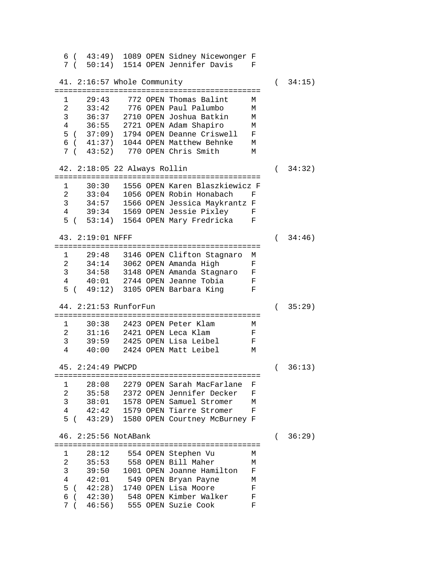6 ( 43:49) 1089 OPEN Sidney Nicewonger F 7 ( 50:14) 1514 OPEN Jennifer Davis F 41. 2:16:57 Whole Community ( 34:15) ============================================= 1 29:43 772 OPEN Thomas Balint M 2 33:42 776 OPEN Paul Palumbo M 3 36:37 2710 OPEN Joshua Batkin M 4 36:55 2721 OPEN Adam Shapiro 5 ( 37:09) 1794 OPEN Deanne Criswell F 6 ( 41:37) 1044 OPEN Matthew Behnke M 7 ( 43:52) 770 OPEN Chris Smith 42. 2:18:05 22 Always Rollin ( 34:32) ============================================= 1 30:30 1556 OPEN Karen Blaszkiewicz F 2 33:04 1056 OPEN Robin Honabach F 3 34:57 1566 OPEN Jessica Maykrantz F<br>4 39:34 1569 OPEN Jessie Pixlev F 39:34 1569 OPEN Jessie Pixley F<br>53:14) 1564 OPEN Mary Fredricka F  $5$  (  $53:14$ ) 1564 OPEN Mary Fredricka 43. 2:19:01 NFFF ( 34:46) ============================================= 1 29:48 3146 OPEN Clifton Stagnaro M<br>2 34:14 3062 OPEN Amanda High F 2 34:14 3062 OPEN Amanda High F 3 34:58 3148 OPEN Amanda Stagnaro F 4 40:01 2744 OPEN Jeanne Tobia F 5 ( 49:12) 3105 OPEN Barbara King F 44. 2:21:53 RunforFun ( 35:29) ============================================= 1 30:38 2423 OPEN Peter Klam M 2 31:16 2421 OPEN Leca Klam F<br>3 39:59 2425 OPEN Lisa Leibel F 3 39:59 2425 OPEN Lisa Leibel<br>4 40:00 2424 OPEN Matt Leibel 4 40:00 2424 OPEN Matt Leibel M 45. 2:24:49 PWCPD ( 36:13) ============================================= 1 28:08 2279 OPEN Sarah MacFarlane F 2 35:58 2372 OPEN Jennifer Decker F 3 38:01 1578 OPEN Samuel Stromer M 42:42 1579 OPEN Tiarre Stromer 5 ( 43:29) 1580 OPEN Courtney McBurney F 46. 2:25:56 NotABank ( 36:29) ============================================= 1 28:12 554 OPEN Stephen Vu M 2 35:53 558 OPEN Bill Maher M<br>3 39:50 1001 OPEN Joanne Hamilton F 3 39:50 1001 OPEN Joanne Hamilton F 4 42:01 549 OPEN Bryan Payne M 5 ( 42:28) 1740 OPEN Lisa Moore F 6 ( 42:30) 548 OPEN Kimber Walker F 7 ( 46:56) 555 OPEN Suzie Cook F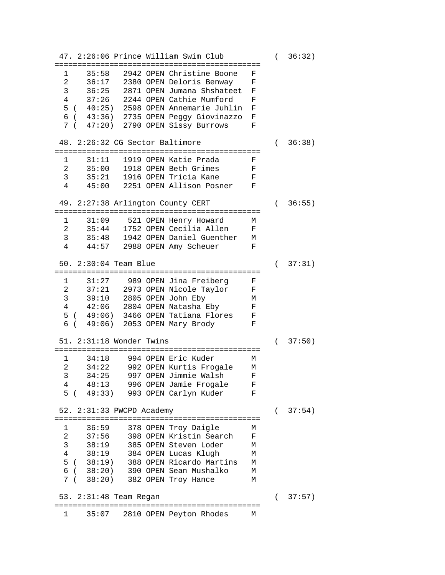47. 2:26:06 Prince William Swim Club ( 36:32) ============================================= 1 35:58 2942 OPEN Christine Boone F 2 36:17 2380 OPEN Deloris Benway<br>3 36:25 2871 OPEN Jumana Shshatee 3 36:25 2871 OPEN Jumana Shshateet F 37:26 2244 OPEN Cathie Mumford 5 ( 40:25) 2598 OPEN Annemarie Juhlin F 6 ( 43:36) 2735 OPEN Peggy Giovinazzo F 7 ( 47:20) 2790 OPEN Sissy Burrows F 48. 2:26:32 CG Sector Baltimore ( 36:38) ============================================= 1 31:11 1919 OPEN Katie Prada F 2 35:00 1918 OPEN Beth Grimes F<br>3 35:21 1916 OPEN Tricia Kane F 3 35:21 1916 OPEN Tricia Kane F 4 45:00 2251 OPEN Allison Posner F 49. 2:27:38 Arlington County CERT ( 36:55) ============================================= 1 31:09 521 OPEN Henry Howard<br>2 35:44 1752 OPEN Cecilia Allen 2 35:44 1752 OPEN Cecilia Allen F 3 35:48 1942 OPEN Daniel Guenther M 44:57 2988 OPEN Amy Scheuer 50. 2:30:04 Team Blue ( 37:31) ============================================= 31:27 989 OPEN Jina Freiberg 2 37:21 2973 OPEN Nicole Taylor F 3 39:10 2805 OPEN John Eby M<br>4 42:06 2804 OPEN Natasha Eby F 42:06 2804 OPEN Natasha Eby F<br>49:06) 3466 OPEN Tatiana Flores F 5 ( 49:06) 3466 OPEN Tatiana Flores F 6 ( 49:06) 2053 OPEN Mary Brody F 51. 2:31:18 Wonder Twins ( 37:50) ============================================= 1 34:18 994 OPEN Eric Kuder<br>2 34:22 992 OPEN Kurtis Froc 2 34:22 992 OPEN Kurtis Frogale M 3 34:25 997 OPEN Jimmie Walsh<br>4 48:13 996 OPEN Jamie Frogale 4 48:13 996 OPEN Jamie Frogale F 5 ( 49:33) 993 OPEN Carlyn Kuder F 52. 2:31:33 PWCPD Academy ( 37:54) ============================================= 1 36:59 378 OPEN Troy Daigle M 2 37:56 398 OPEN Kristin Search F 3 38:19 385 OPEN Steven Loder M 384 OPEN Lucas Klugh 5 ( 38:19) 388 OPEN Ricardo Martins M 6 ( 38:20) 390 OPEN Sean Mushalko M 382 OPEN Troy Hance 53. 2:31:48 Team Regan ( 37:57) =============================================  $1$  35:07 2810 OPEN Peyton Rhodes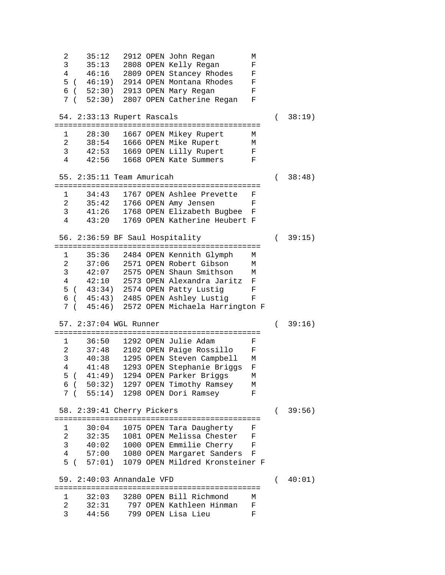2 35:12 2912 OPEN John Regan M 3 35:13 2808 OPEN Kelly Regan F 4 46:16 2809 OPEN Stancey Rhodes F 5 ( 46:19) 2914 OPEN Montana Rhodes F 6 ( 52:30) 2913 OPEN Mary Regan F 7 ( 52:30) 2807 OPEN Catherine Regan F 54. 2:33:13 Rupert Rascals ( 38:19) ============================================= 1 28:30 1667 OPEN Mikey Rupert M<br>2 38:54 1666 OPEN Mike Rupert M 2 38:54 1666 OPEN Mike Rupert M 3 42:53 1669 OPEN Lilly Rupert F 4 42:56 1668 OPEN Kate Summers F 55. 2:35:11 Team Amuricah ( 38:48) ============================================= 1 34:43 1767 OPEN Ashlee Prevette F 2 35:42 1766 OPEN Amy Jensen F 3 41:26 1768 OPEN Elizabeth Bugbee F 4 43:20 1769 OPEN Katherine Heubert F 56. 2:36:59 BF Saul Hospitality ( 39:15) ============================================= 1 35:36 2484 OPEN Kennith Glymph M 2 37:06 2571 OPEN Robert Gibson M 3 42:07 2575 OPEN Shaun Smithson M 4 42:10 2573 OPEN Alexandra Jaritz F 5 ( 43:34) 2574 OPEN Patty Lustig F 6 ( 45:43) 2485 OPEN Ashley Lustig F 7 ( 45:46) 2572 OPEN Michaela Harrington F 57. 2:37:04 WGL Runner ( 39:16) ============================================= 1 36:50 1292 OPEN Julie Adam F 2 37:48 2102 OPEN Paige Rossillo F 3 40:38 1295 OPEN Steven Campbell M<br>4 41:48 1293 OPEN Stephanie Briggs F 4 41:48 1293 OPEN Stephanie Briggs F 5 ( 41:49) 1294 OPEN Parker Briggs M 6 ( 50:32) 1297 OPEN Timothy Ramsey M 7 ( 55:14) 1298 OPEN Dori Ramsey F 58. 2:39:41 Cherry Pickers ( 39:56) ============================================= 1 30:04 1075 OPEN Tara Daugherty F<br>2 32:35 1081 OPEN Melissa Chester F 32:35 1081 OPEN Melissa Chester F<br>40:02 1000 OPEN Emmilie Cherry F 3 40:02 1000 OPEN Emmilie Cherry<br>4 57:00 1080 OPEN Margaret Sander 57:00 1080 OPEN Margaret Sanders F 5 ( 57:01) 1079 OPEN Mildred Kronsteiner F 59. 2:40:03 Annandale VFD ( 40:01) ============================================= 1 32:03 3280 OPEN Bill Richmond M 2 32:31 797 OPEN Kathleen Hinman F 3 44:56 799 OPEN Lisa Lieu F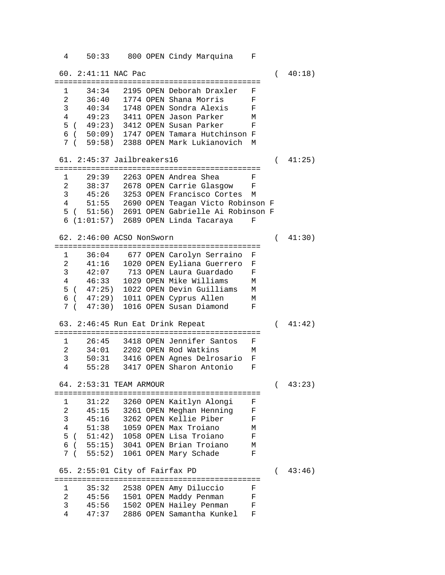4 50:33 800 OPEN Cindy Marquina F 60. 2:41:11 NAC Pac ( 40:18) ============================================= 1 34:34 2195 OPEN Deborah Draxler F 2 36:40 1774 OPEN Shana Morris F 3 40:34 1748 OPEN Sondra Alexis F 4 49:23 3411 OPEN Jason Parker M 5 ( 49:23) 3412 OPEN Susan Parker 6 ( 50:09) 1747 OPEN Tamara Hutchinson F 7 ( 59:58) 2388 OPEN Mark Lukianovich M 61. 2:45:37 Jailbreakers16 ( 41:25) ============================================= 1 29:39 2263 OPEN Andrea Shea F 2 38:37 2678 OPEN Carrie Glasgow F 3 45:26 3253 OPEN Francisco Cortes M 51:55 2690 OPEN Teagan Victo Robinson F 5 ( 51:56) 2691 OPEN Gabrielle Ai Robinson F  $6(1:01:57)$  2689 OPEN Linda Tacaraya 62. 2:46:00 ACSO NonSworn ( 41:30) ============================================= 1 36:04 677 OPEN Carolyn Serraino F<br>2 41:16 1020 OPEN Eyliana Guerrero F 2 41:16 1020 OPEN Eyliana Guerrero F<br>3 42:07 713 OPEN Laura Guardado F 3 42:07 713 OPEN Laura Guardado F 46:33 1029 OPEN Mike Williams 5 ( 47:25) 1022 OPEN Devin Guilliams M 6 ( 47:29) 1011 OPEN Cyprus Allen M 7 ( 47:30) 1016 OPEN Susan Diamond F 63. 2:46:45 Run Eat Drink Repeat ( 41:42) ============================================= 1 26:45 3418 OPEN Jennifer Santos<br>2 34:01 2202 OPEN Rod Watkins 2 34:01 2202 OPEN Rod Watkins M 3 50:31 3416 OPEN Agnes Delrosario F 55:28 3417 OPEN Sharon Antonio 64. 2:53:31 TEAM ARMOUR ( 43:23) ============================================= 1 31:22 3260 OPEN Kaitlyn Alongi F<br>2 45:15 3261 OPEN Meghan Henning F 2 45:15 3261 OPEN Meghan Henning F 3 45:16 3262 OPEN Kellie Piber<br>4 51:38 1059 OPEN Max Troiano 51:38 1059 OPEN Max Troiano M<br>51:42) 1058 OPEN Lisa Troiano F 5 ( 51:42) 1058 OPEN Lisa Troiano F 6 ( 55:15) 3041 OPEN Brian Troiano M 7 ( 55:52) 1061 OPEN Mary Schade F 65. 2:55:01 City of Fairfax PD ( 43:46) ============================================= 1 35:32 2538 OPEN Amy Diluccio F 2 45:56 1501 OPEN Maddy Penman F 3 45:56 1502 OPEN Hailey Penman F 47:37 2886 OPEN Samantha Kunkel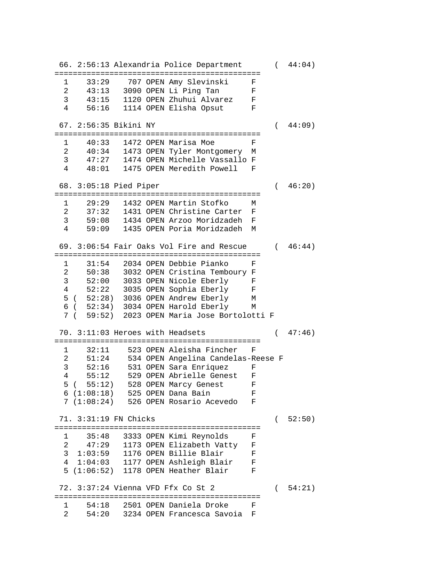66. 2:56:13 Alexandria Police Department ( 44:04) ============================================= 1 33:29 707 OPEN Amy Slevinski F 2 43:13 3090 OPEN Li Ping Tan F<br>3 43:15 1120 OPEN Zhuhui Alvarez F 3 43:15 1120 OPEN Zhuhui Alvarez<br>4 56:16 1114 OPEN Elisha Opsut 4 56:16 1114 OPEN Elisha Opsut F 67. 2:56:35 Bikini NY ( 44:09) ============================================= 1 40:33 1472 OPEN Marisa Moe F 2 40:34 1473 OPEN Tyler Montgomery M 3 47:27 1474 OPEN Michelle Vassallo F 4 48:01 1475 OPEN Meredith Powell F 68. 3:05:18 Pied Piper ( 46:20) ============================================= 1 29:29 1432 OPEN Martin Stofko M 2 37:32 1431 OPEN Christine Carter F 3 59:08 1434 OPEN Arzoo Moridzadeh F 4 59:09 1435 OPEN Poria Moridzadeh M 69. 3:06:54 Fair Oaks Vol Fire and Rescue ( 46:44) ============================================= 1 31:54 2034 OPEN Debbie Pianko F 2 50:38 3032 OPEN Cristina Temboury F 3 52:00 3033 OPEN Nicole Eberly F 4 52:22 3035 OPEN Sophia Eberly F 5 ( 52:28) 3036 OPEN Andrew Eberly M 6 ( 52:34) 3034 OPEN Harold Eberly M 7 ( 59:52) 2023 OPEN Maria Jose Bortolotti F 70. 3:11:03 Heroes with Headsets ( 47:46) ============================================= 1 32:11 523 OPEN Aleisha Fincher F 2 51:24 534 OPEN Angelina Candelas-Reese F 3 52:16 531 OPEN Sara Enriquez F 4 55:12 529 OPEN Abrielle Genest F 5 ( 55:12) 528 OPEN Marcy Genest F 6 (1:08:18) 525 OPEN Dana Bain F 7 (1:08:24) 526 OPEN Rosario Acevedo F 71. 3:31:19 FN Chicks ( 52:50) ============================================= 1 35:48 3333 OPEN Kimi Reynolds F 2 47:29 1173 OPEN Elizabeth Vatty F 3 1:03:59 1176 OPEN Billie Blair F 4 1:04:03 1177 OPEN Ashleigh Blair F 5 (1:06:52) 1178 OPEN Heather Blair F 72. 3:37:24 Vienna VFD Ffx Co St 2 ( 54:21) ============================================= 1 54:18 2501 OPEN Daniela Droke F 2 54:20 3234 OPEN Francesca Savoia F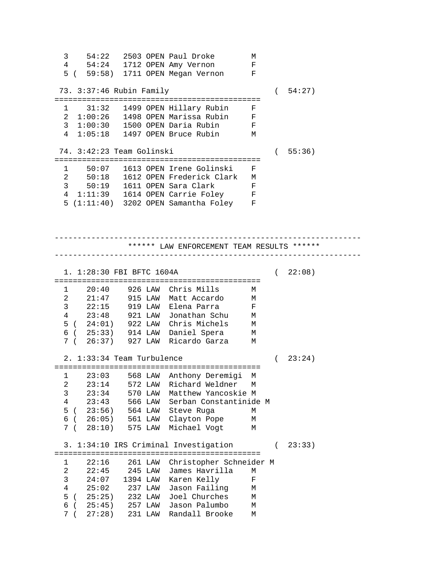3 54:22 2503 OPEN Paul Droke M 54:24 1712 OPEN Amy Vernon F<br>( 59:58) 1711 OPEN Megan Vernon F 5 ( 59:58) 1711 OPEN Megan Vernon F 73. 3:37:46 Rubin Family ( 54:27) ============================================= 1 31:32 1499 OPEN Hillary Rubin F 2 1:00:26 1498 OPEN Marissa Rubin F 3 1:00:30 1500 OPEN Daria Rubin F 4 1:05:18 1497 OPEN Bruce Rubin M 74. 3:42:23 Team Golinski ( 55:36) ============================================= 1 50:07 1613 OPEN Irene Golinski F 2 50:18 1612 OPEN Frederick Clark M 3 50:19 1611 OPEN Sara Clark F 4 1:11:39 1614 OPEN Carrie Foley 5 (1:11:40) 3202 OPEN Samantha Foley F ------------------------------------------------------------------- \*\*\*\*\*\* LAW ENFORCEMENT TEAM RESULTS \*\*\*\*\*\* ------------------------------------------------------------------- 1. 1:28:30 FBI BFTC 1604A (22:08) ============================================= 1 20:40 926 LAW Chris Mills M 2 21:47 915 LAW Matt Accardo M 3 22:15 919 LAW Elena Parra F 4 23:48 921 LAW Jonathan Schu M 5 ( 24:01) 922 LAW Chris Michels M 6 ( 25:33) 914 LAW Daniel Spera M 7 ( 26:37) 927 LAW Ricardo Garza M 2. 1:33:34 Team Turbulence ( 23:24) ============================================= 1 23:03 568 LAW Anthony Deremigi M 2 23:14 572 LAW Richard Weldner M 3 23:34 570 LAW Matthew Yancoskie M 4 23:43 566 LAW Serban Constantinide M 5 ( 23:56) 564 LAW Steve Ruga M 6 ( 26:05) 561 LAW Clayton Pope M 7 ( 28:10) 575 LAW Michael Vogt 3. 1:34:10 IRS Criminal Investigation ( 23:33) ============================================= 1 22:16 261 LAW Christopher Schneider M 22:45 245 LAW James Havrilla M<br>24:07 1394 LAW Karen Kelly F 3 24:07 1394 LAW Karen Kelly F 4 25:02 237 LAW Jason Failing M 5 ( 25:25) 232 LAW Joel Churches M 6 ( 25:45) 257 LAW Jason Palumbo M 7 ( 27:28) 231 LAW Randall Brooke M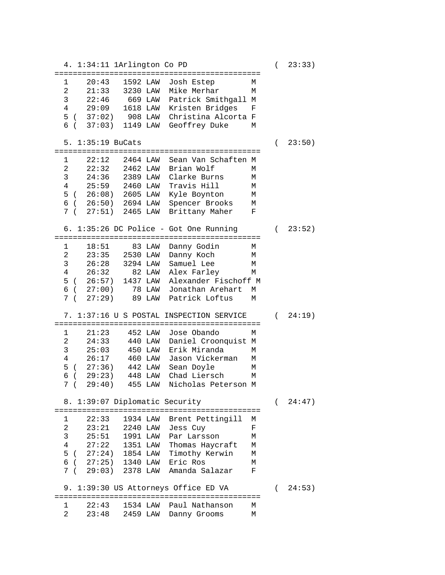4. 1:34:11 1Arlington Co PD ( 23:33) ============================================= 1 20:43 1592 LAW Josh Estep M 2 21:33 3230 LAW Mike Merhar M 3 22:46 669 LAW Patrick Smithgall M 4 29:09 1618 LAW Kristen Bridges F 5 ( 37:02) 908 LAW Christina Alcorta F 6 ( 37:03) 1149 LAW Geoffrey Duke M 5. 1:35:19 BuCats ( 23:50) ============================================= 22:12 2464 LAW Sean Van Schaften M 2 22:32 2462 LAW Brian Wolf M 3 24:36 2389 LAW Clarke Burns M 4 25:59 2460 LAW Travis Hill M 5 ( 26:08) 2605 LAW Kyle Boynton M 6 ( 26:50) 2694 LAW Spencer Brooks M 7 ( 27:51) 2465 LAW Brittany Maher F 6. 1:35:26 DC Police - Got One Running ( 23:52) ============================================= 1 18:51 83 LAW Danny Godin M 2 23:35 2530 LAW Danny Koch M 3 26:28 3294 LAW Samuel Lee M 4 26:32 82 LAW Alex Farley M 5 ( 26:57) 1437 LAW Alexander Fischoff M 6 ( 27:00) 78 LAW Jonathan Arehart M 7 ( 27:29) 89 LAW Patrick Loftus M 7. 1:37:16 U S POSTAL INSPECTION SERVICE ( 24:19) ============================================= 1 21:23 452 LAW Jose Obando M 2 24:33 440 LAW Daniel Croonquist M 3 25:03 450 LAW Erik Miranda M 4 26:17 460 LAW Jason Vickerman M 5 ( 27:36) 442 LAW Sean Doyle M 6 ( 29:23) 448 LAW Chad Liersch M 7 ( 29:40) 455 LAW Nicholas Peterson M 8. 1:39:07 Diplomatic Security ( 24:47) ============================================= 1 22:33 1934 LAW Brent Pettingill M 2 23:21 2240 LAW Jess Cuy F 3 25:51 1991 LAW Par Larsson M 4 27:22 1351 LAW Thomas Haycraft M 5 ( 27:24) 1854 LAW Timothy Kerwin M 6 ( 27:25) 1340 LAW Eric Ros M 7 ( 29:03) 2378 LAW Amanda Salazar F 9. 1:39:30 US Attorneys Office ED VA (24:53) ============================================= 1 22:43 1534 LAW Paul Nathanson M<br>2 23:48 2459 LAW Danny Grooms M  $23:48$   $2459$  LAW Danny Grooms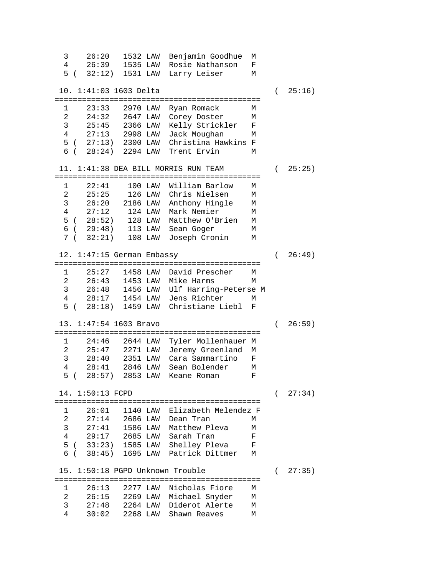3 26:20 1532 LAW Benjamin Goodhue M 26:39 1535 LAW Rosie Nathanson 5 ( 32:12) 1531 LAW Larry Leiser M 10. 1:41:03 1603 Delta ( 25:16) ============================================= 1 23:33 2970 LAW Ryan Romack M 2 24:32 2647 LAW Corey Doster M 3 25:45 2366 LAW Kelly Strickler F 4 27:13 2998 LAW Jack Moughan M 5 ( 27:13) 2300 LAW Christina Hawkins F 6 ( 28:24) 2294 LAW Trent Ervin M 11. 1:41:38 DEA BILL MORRIS RUN TEAM ( 25:25) ============================================= 1 22:41 100 LAW William Barlow M 2 25:25 126 LAW Chris Nielsen M 3 26:20 2186 LAW Anthony Hingle M  $27:12$  124 LAW Mark Nemier 5 ( 28:52) 128 LAW Matthew O'Brien M 6 ( 29:48) 113 LAW Sean Goger M 7 ( 32:21) 108 LAW Joseph Cronin 12. 1:47:15 German Embassy ( 26:49) ============================================= 1 25:27 1458 LAW David Prescher M<br>2 26:43 1453 LAW Mike Harms M 2 26:43 1453 LAW Mike Harms M 3 26:48 1456 LAW Ulf Harring-Peterse M 4 28:17 1454 LAW Jens Richter M 5 ( 28:18) 1459 LAW Christiane Liebl F 13. 1:47:54 1603 Bravo ( 26:59) ============================================= 1 24:46 2644 LAW Tyler Mollenhauer M 2 25:47 2271 LAW Jeremy Greenland M<br>3 28:40 2351 LAW Cara Sammartino F 3 28:40 2351 LAW Cara Sammartino F 28:41 2846 LAW Sean Bolender M<br>28:57) 2853 LAW Keane Roman F 5 ( 28:57) 2853 LAW Keane Roman F 14. 1:50:13 FCPD ( 27:34) ============================================= 1 26:01 1140 LAW Elizabeth Melendez F 2 27:14 2686 LAW Dean Tran M 3 27:41 1586 LAW Matthew Pleva M 4 29:17 2685 LAW Sarah Tran F 5 ( 33:23) 1585 LAW Shelley Pleva F 6 ( 38:45) 1695 LAW Patrick Dittmer M 15. 1:50:18 PGPD Unknown Trouble ( 27:35) ============================================= 1 26:13 2277 LAW Nicholas Fiore M 2 26:15 2269 LAW Michael Snyder M 3 27:48 2264 LAW Diderot Alerte M  $30:02$   $2268$  LAW Shawn Reaves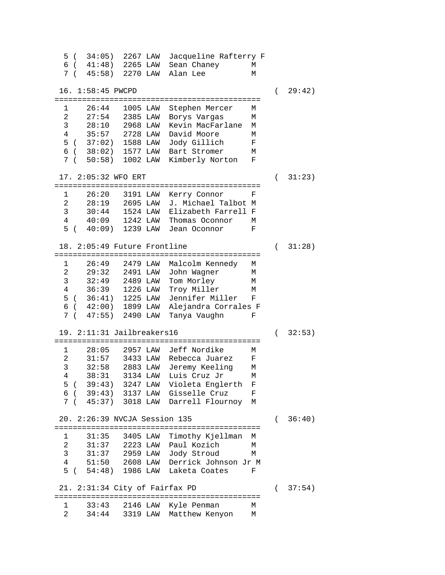5 ( 34:05) 2267 LAW Jacqueline Rafterry F 6 ( 41:48) 2265 LAW Sean Chaney M 7 ( 45:58) 2270 LAW Alan Lee 16. 1:58:45 PWCPD ( 29:42) ============================================= 1 26:44 1005 LAW Stephen Mercer M 2 27:54 2385 LAW Borys Vargas M 3 28:10 2968 LAW Kevin MacFarlane M 4 35:57 2728 LAW David Moore M 5 ( 37:02) 1588 LAW Jody Gillich F  $6$  (  $38:02$ ) 1577 LAW Bart Stromer 7 ( 50:58) 1002 LAW Kimberly Norton F 17. 2:05:32 WFO ERT ( 31:23) ============================================= 1 26:20 3191 LAW Kerry Connor F 2 28:19 2695 LAW J. Michael Talbot M 3 30:44 1524 LAW Elizabeth Farrell F 4 40:09 1242 LAW Thomas Oconnor M 5 ( 40:09) 1239 LAW Jean Oconnor F 18. 2:05:49 Future Frontline ( 31:28) ============================================= 1 26:49 2479 LAW Malcolm Kennedy M 2 29:32 2491 LAW John Wagner M<br>3 32:49 2489 LAW Tom Morley M 32:49 2489 LAW Tom Morley 4 36:39 1226 LAW Troy Miller M 5 ( 36:41) 1225 LAW Jennifer Miller F 6 ( 42:00) 1899 LAW Alejandra Corrales F 7 ( 47:55) 2490 LAW Tanya Vaughn F 19. 2:11:31 Jailbreakers16 ( 32:53) ============================================= 1 28:05 2957 LAW Jeff Nordike M 31:57 3433 LAW Rebecca Juarez 3 32:58 2883 LAW Jeremy Keeling M 4 38:31 3134 LAW Luis Cruz Jr M 5 ( 39:43) 3247 LAW Violeta Englerth F 6 ( 39:43) 3137 LAW Gisselle Cruz F 7 ( 45:37) 3018 LAW Darrell Flournoy M 20. 2:26:39 NVCJA Session 135 ( 36:40) ============================================= 1 31:35 3405 LAW Timothy Kjellman M 2 31:37 2223 LAW Paul Kozich M 3 31:37 2959 LAW Jody Stroud M 4 51:50 2608 LAW Derrick Johnson Jr M 5 ( 54:48) 1986 LAW Laketa Coates F 21. 2:31:34 City of Fairfax PD ( 37:54) ============================================= 1 33:43 2146 LAW Kyle Penman M 2 34:44 3319 LAW Matthew Kenyon M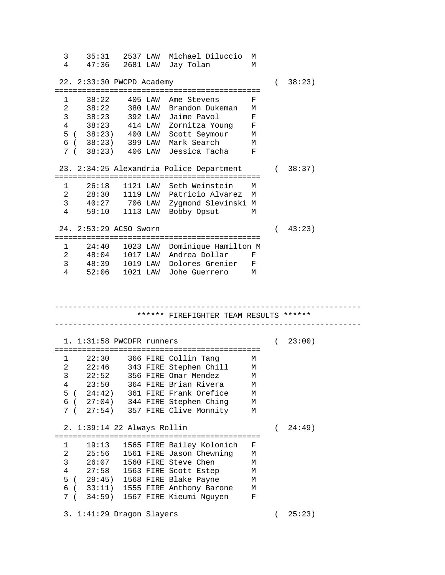3 35:31 2537 LAW Michael Diluccio M 4 47:36 2681 LAW Jay Tolan M 22. 2:33:30 PWCPD Academy ( 38:23) ============================================= 1 38:22 405 LAW Ame Stevens F 2 38:22 380 LAW Brandon Dukeman M 3 38:23 392 LAW Jaime Pavol F 4 38:23 414 LAW Zornitza Young F 5 ( 38:23) 400 LAW Scott Seymour M<br>6 ( 38:23) 399 LAW Mark Search M 6 ( 38:23) 399 LAW Mark Search M 7 ( 38:23) 406 LAW Jessica Tacha F 23. 2:34:25 Alexandria Police Department ( 38:37) ============================================= 1 26:18 1121 LAW Seth Weinstein M 2 28:30 1119 LAW Patricio Alvarez M 3 40:27 706 LAW Zygmond Slevinski M<br>4 59:10 1113 LAW Bobby Opsut M 59:10 1113 LAW Bobby Opsut M 24. 2:53:29 ACSO Sworn ( 43:23) ============================================= 1 24:40 1023 LAW Dominique Hamilton M 2 48:04 1017 LAW Andrea Dollar F 3 48:39 1019 LAW Dolores Grenier F 4 52:06 1021 LAW Johe Guerrero M ------------------------------------------------------------------- \*\*\*\*\*\* FIREFIGHTER TEAM RESULTS \*\*\*\*\*\* ------------------------------------------------------------------- 1. 1:31:58 PWCDFR runners ( 23:00) ============================================= 22:30 366 FIRE Collin Tang M<br>22:46 343 FIRE Stephen Chill M 2 22:46 343 FIRE Stephen Chill M 3 22:52 356 FIRE Omar Mendez M 4 23:50 364 FIRE Brian Rivera M 5 ( 24:42) 361 FIRE Frank Orefice M 6 ( 27:04) 344 FIRE Stephen Ching M 7 ( 27:54) 357 FIRE Clive Monnity M 2. 1:39:14 22 Always Rollin ( 24:49) ============================================= 1 19:13 1565 FIRE Bailey Kolonich F 2 25:56 1561 FIRE Jason Chewning M 3 26:07 1560 FIRE Steve Chen M 27:58 1563 FIRE Scott Estep M<br>29:45) 1568 FIRE Blake Payne M 5 ( 29:45) 1568 FIRE Blake Payne 6 ( 33:11) 1555 FIRE Anthony Barone M 7 ( 34:59) 1567 FIRE Kieumi Nguyen F 3. 1:41:29 Dragon Slayers ( 25:23)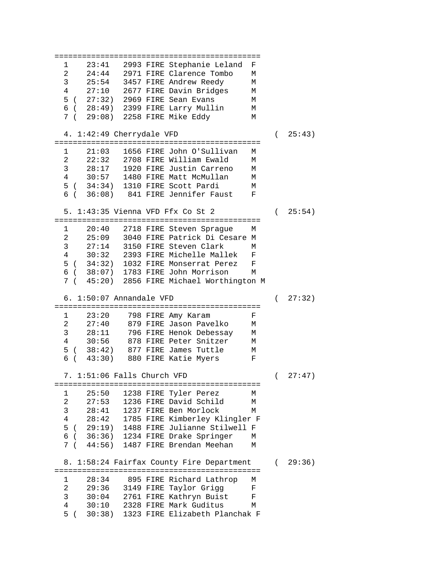============================================= 1 23:41 2993 FIRE Stephanie Leland F<br>2 24:44 2971 FIRE Clarence Tombo M 24:44 2971 FIRE Clarence Tombo M<br>25:54 3457 FIRE Andrew Reedy M 3 25:54 3457 FIRE Andrew Reedy M 27:10 2677 FIRE Davin Bridges 5 ( 27:32) 2969 FIRE Sean Evans M 6 ( 28:49) 2399 FIRE Larry Mullin M 7 ( 29:08) 2258 FIRE Mike Eddy M 4. 1:42:49 Cherrydale VFD ( 25:43) ============================================= 1 21:03 1656 FIRE John O'Sullivan M 22:32 2708 FIRE William Ewald 3 28:17 1920 FIRE Justin Carreno M 4 30:57 1480 FIRE Matt McMullan M 5 ( 34:34) 1310 FIRE Scott Pardi M 6 ( 36:08) 841 FIRE Jennifer Faust F 5. 1:43:35 Vienna VFD Ffx Co St 2 ( 25:54) ============================================= 1 20:40 2718 FIRE Steven Sprague M 2 25:09 3040 FIRE Patrick Di Cesare M 3 27:14 3150 FIRE Steven Clark M<br>4 30:32 2393 FIRE Michelle Mallek F 30:32 2393 FIRE Michelle Mallek F<br>34:32) 1032 FIRE Monserrat Perez F 5 ( 34:32) 1032 FIRE Monserrat Perez F 6 ( 38:07) 1783 FIRE John Morrison M 7 ( 45:20) 2856 FIRE Michael Worthington M 6. 1:50:07 Annandale VFD ( 27:32) ============================================= 1 23:20 798 FIRE Amy Karam F 2 27:40 879 FIRE Jason Pavelko M 3 28:11 796 FIRE Henok Debessay M 4 30:56 878 FIRE Peter Snitzer M 5 ( 38:42) 877 FIRE James Tuttle M 6 ( 43:30) 880 FIRE Katie Myers F 7. 1:51:06 Falls Church VFD ( 27:47) ============================================= 1 25:50 1238 FIRE Tyler Perez M  $27:53$  1236 FIRE David Schild 3 28:41 1237 FIRE Ben Morlock M 4 28:42 1785 FIRE Kimberley Klingler F 5 ( 29:19) 1488 FIRE Julianne Stilwell F 6 ( 36:36) 1234 FIRE Drake Springer M 7 ( 44:56) 1487 FIRE Brendan Meehan M 8. 1:58:24 Fairfax County Fire Department (29:36) ============================================= 1 28:34 895 FIRE Richard Lathrop M 2 29:36 3149 FIRE Taylor Grigg F 3 30:04 2761 FIRE Kathryn Buist F 4 30:10 2328 FIRE Mark Guditus M 5 ( 30:38) 1323 FIRE Elizabeth Planchak F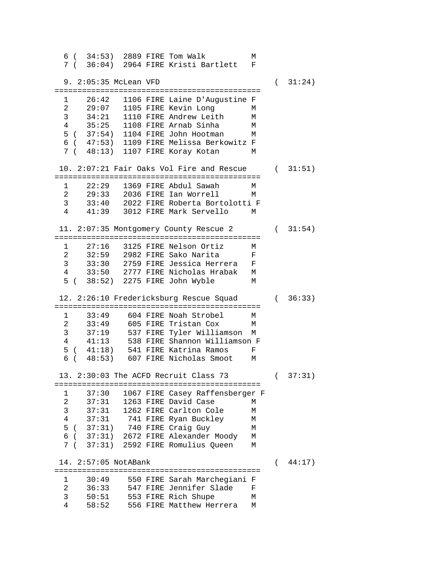6 ( 34:53) 2889 FIRE Tom Walk M 7 ( 36:04) 2964 FIRE Kristi Bartlett F 9. 2:05:35 McLean VFD ( 31:24) ============================================= 26:42 1106 FIRE Laine D'Augustine F<br>29:07 1105 FIRE Kevin Long M 2 29:07 1105 FIRE Kevin Long<br>3 34:21 1110 FIRE Andrew Leit 34:21 1110 FIRE Andrew Leith M<br>35:25 1108 FIRE Arnab Sinha M 4 35:25 1108 FIRE Arnab Sinha M 5 ( 37:54) 1104 FIRE John Hootman 6 ( 47:53) 1109 FIRE Melissa Berkowitz F 7 ( 48:13) 1107 FIRE Koray Kotan 10. 2:07:21 Fair Oaks Vol Fire and Rescue ( 31:51) ============================================= 1 22:29 1369 FIRE Abdul Sawah M 2 29:33 2036 FIRE Ian Worrell M 3 33:40 2022 FIRE Roberta Bortolotti F<br>4 41:39 3012 FIRE Mark Servello M 4 41:39 3012 FIRE Mark Servello M 11. 2:07:35 Montgomery County Rescue 2 ( 31:54) ============================================= 1 27:16 3125 FIRE Nelson Ortiz M 2 32:59 2982 FIRE Sako Narita<br>3 33:30 2759 FIRE Jessica Herre 3 33:30 2759 FIRE Jessica Herrera F<br>4 33:50 2777 FIRE Nicholas Hrabak M 33:50 2777 FIRE Nicholas Hrabak M<br>38:52) 2275 FIRE John Wyble M 5 ( 38:52) 2275 FIRE John Wyble 12. 2:26:10 Fredericksburg Rescue Squad ( 36:33) ============================================= 1 33:49 604 FIRE Noah Strobel M 2 33:49 605 FIRE Tristan Cox M 3 37:19 537 FIRE Tyler Williamson M 4 41:13 538 FIRE Shannon Williamson F 5 ( 41:18) 541 FIRE Katrina Ramos F  $6$  (  $48:53$ )  $607$  FIRE Nicholas Smoot 13. 2:30:03 The ACFD Recruit Class 73 ( 37:31) ============================================= 1 37:30 1067 FIRE Casey Raffensberger F 37:31 1263 FIRE David Case M<br>37:31 1262 FIRE Carlton Cole M 3 37:31 1262 FIRE Carlton Cole M 4 37:31 741 FIRE Ryan Buckley M 5 ( 37:31) 740 FIRE Craig Guy M 6 ( 37:31) 2672 FIRE Alexander Moody M 7 ( 37:31) 2592 FIRE Romulius Queen M 14. 2:57:05 NotABank ( 44:17) ============================================= 1 30:49 550 FIRE Sarah Marchegiani F 2 36:33 547 FIRE Jennifer Slade F 3 50:51 553 FIRE Rich Shupe M 4 58:52 556 FIRE Matthew Herrera M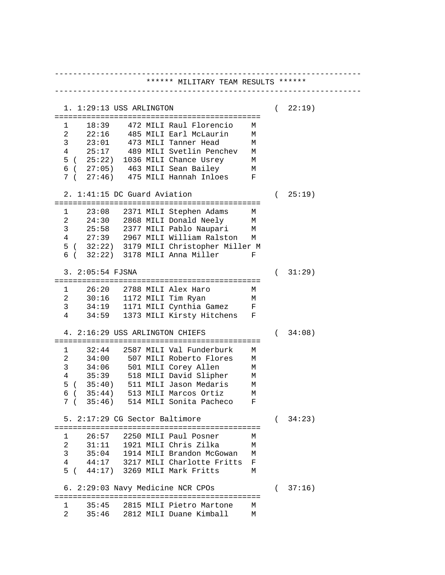------------------------------------------------------------------- \*\*\*\*\*\* MILITARY TEAM RESULTS \*\*\*\*\*\* ------------------------------------------------------------------- 1. 1:29:13 USS ARLINGTON ( 22:19) ============================================= 1 18:39 472 MILI Raul Florencio M 2 22:16 485 MILI Earl McLaurin M<br>3 23:01 473 MILI Tanner Head M 3 23:01 473 MILI Tanner Head M<br>4 25:17 489 MILI Svetlin Penchev M 489 MILI Svetlin Penchev M<br>1036 MILI Chance Usrey M  $5$  (  $25:22$ )  $1036$  MILI Chance Usrey 6 ( 27:05) 463 MILI Sean Bailey M 7 ( 27:46) 475 MILI Hannah Inloes F 2. 1:41:15 DC Guard Aviation ( 25:19) ============================================= 1 23:08 2371 MILI Stephen Adams M  $24:30$   $2868$  MILI Donald Neely 3 25:58 2377 MILI Pablo Naupari M 4 27:39 2967 MILI William Ralston M 5 ( 32:22) 3179 MILI Christopher Miller M 6 ( 32:22) 3178 MILI Anna Miller F 3. 2:05:54 FJSNA ( 31:29) ============================================= 1 26:20 2788 MILI Alex Haro M 2 30:16 1172 MILI Tim Ryan M 3 34:19 1171 MILI Cynthia Gamez<br>4 34:59 1373 MILI Kirsty Hitchens 4 34:59 1373 MILI Kirsty Hitchens F 4. 2:16:29 USS ARLINGTON CHIEFS ( 34:08) ============================================= 1 32:44 2587 MILI Val Funderburk M 2 34:00 507 MILI Roberto Flores M 3 34:06 501 MILI Corey Allen M 4 35:39 518 MILI David Slipher M 5 ( 35:40) 511 MILI Jason Medaris M 6 ( 35:44) 513 MILI Marcos Ortiz M 7 ( 35:46) 514 MILI Sonita Pacheco F 5. 2:17:29 CG Sector Baltimore ( 34:23) ============================================= 1 26:57 2250 MILI Paul Posner M 2 31:11 1921 MILI Chris Zilka 3 35:04 1914 MILI Brandon McGowan M 4 44:17 3217 MILI Charlotte Fritts F 5 ( 44:17) 3269 MILI Mark Fritts M 6. 2:29:03 Navy Medicine NCR CPOs ( 37:16) ============================================= 1 35:45 2815 MILI Pietro Martone M 2 35:46 2812 MILI Duane Kimball M